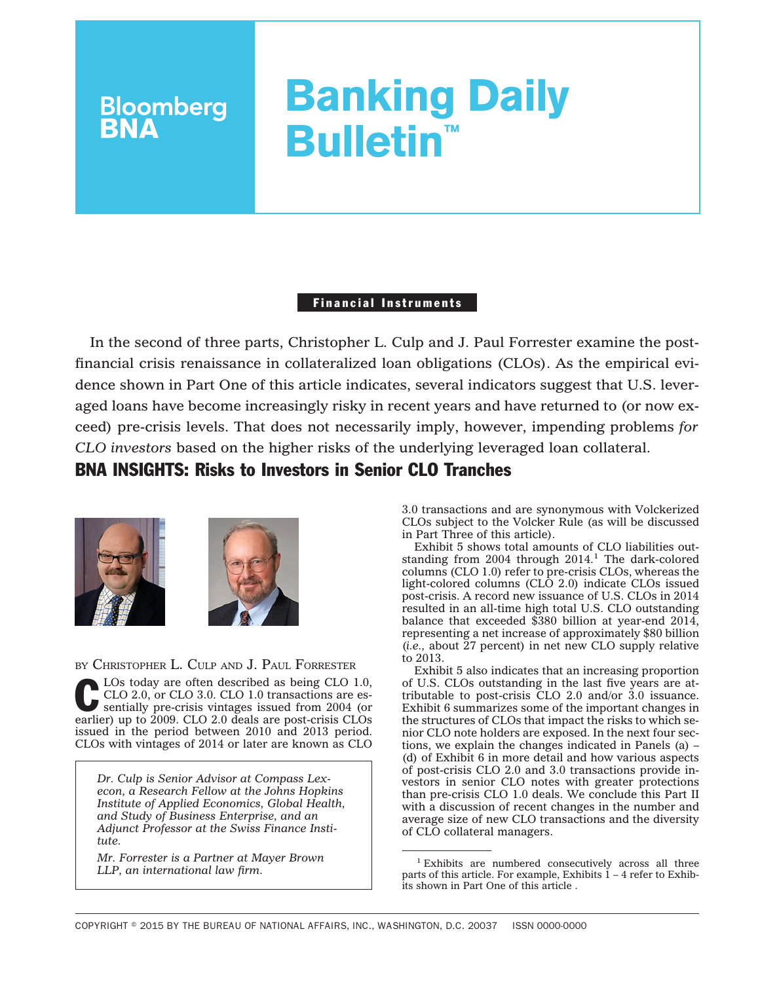# **Banking Daily Bulletin™**

## Financial Instruments

In the second of three parts, Christopher L. Culp and J. Paul Forrester examine the postfinancial crisis renaissance in collateralized loan obligations (CLOs). As the empirical evidence shown in Part One of this article indicates, several indicators suggest that U.S. leveraged loans have become increasingly risky in recent years and have returned to (or now exceed) pre-crisis levels. That does not necessarily imply, however, impending problems *for CLO investors* based on the higher risks of the underlying leveraged loan collateral.

# BNA INSIGHTS: Risks to Investors in Senior CLO Tranches



**Bloomberg**<br>**BNA** 



BY CHRISTOPHER L. CULP AND J. PAUL FORRESTER

LOs today are often described as being CLO 1.0,<br>CLO 2.0, or CLO 3.0. CLO 1.0 transactions are es-<br>sentially pre-crisis vintages issued from 2004 (or<br>carlier) un transactions are sentially contained to CLO 2.0, or CLO 3.0. CLO 1.0 transactions are esearlier) up to 2009. CLO 2.0 deals are post-crisis CLOs issued in the period between 2010 and 2013 period. CLOs with vintages of 2014 or later are known as CLO

*Dr. Culp is Senior Advisor at Compass Lexecon, a Research Fellow at the Johns Hopkins Institute of Applied Economics, Global Health, and Study of Business Enterprise, and an Adjunct Professor at the Swiss Finance Institute.*

*Mr. Forrester is a Partner at Mayer Brown LLP, an international law firm.*

3.0 transactions and are synonymous with Volckerized CLOs subject to the Volcker Rule (as will be discussed in Part Three of this article).

Exhibit 5 shows total amounts of CLO liabilities outstanding from  $2004$  through  $2014<sup>1</sup>$ . The dark-colored columns (CLO 1.0) refer to pre-crisis CLOs, whereas the light-colored columns (CLO 2.0) indicate CLOs issued post-crisis. A record new issuance of U.S. CLOs in 2014 resulted in an all-time high total U.S. CLO outstanding balance that exceeded \$380 billion at year-end 2014, representing a net increase of approximately \$80 billion (*i.e.,* about 27 percent) in net new CLO supply relative to 2013.

Exhibit 5 also indicates that an increasing proportion of U.S. CLOs outstanding in the last five years are attributable to post-crisis CLO 2.0 and/or 3.0 issuance. Exhibit 6 summarizes some of the important changes in the structures of CLOs that impact the risks to which senior CLO note holders are exposed. In the next four sections, we explain the changes indicated in Panels  $(a)$  – (d) of Exhibit 6 in more detail and how various aspects of post-crisis CLO 2.0 and 3.0 transactions provide investors in senior CLO notes with greater protections than pre-crisis CLO 1.0 deals. We conclude this Part II with a discussion of recent changes in the number and average size of new CLO transactions and the diversity of CLO collateral managers.

<sup>1</sup> Exhibits are numbered consecutively across all three parts of this article. For example, Exhibits  $1-4$  refer to Exhibits shown in Part One of this article .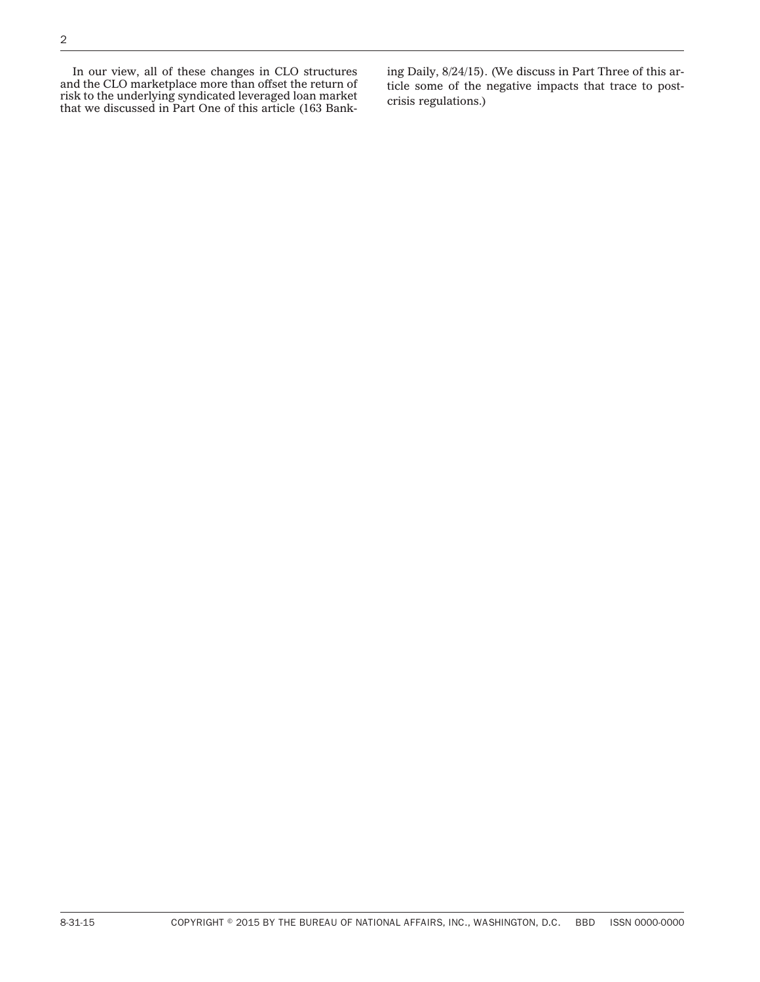In our view, all of these changes in CLO structures and the CLO marketplace more than offset the return of risk to the underlying syndicated leveraged loan market that we discussed in Part One of this article (163 Banking Daily, 8/24/15). (We discuss in Part Three of this article some of the negative impacts that trace to postcrisis regulations.)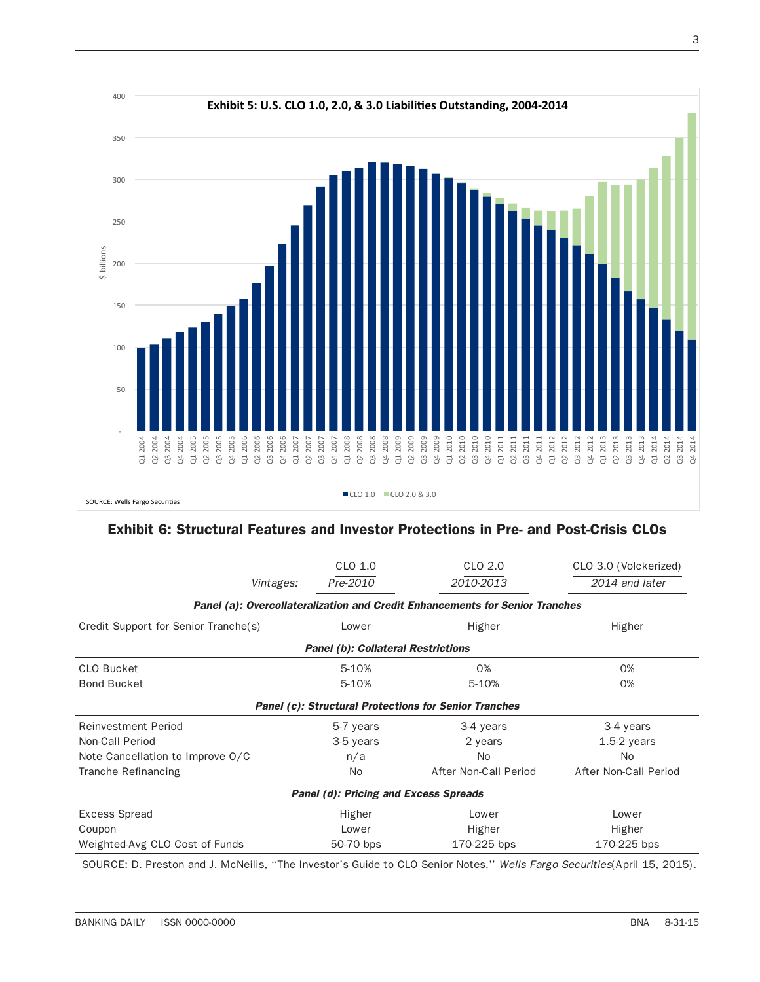

## Exhibit 6: Structural Features and Investor Protections in Pre- and Post-Crisis CLOs

|                                                                              | CLO 1.0   | CLO 2.0               | CLO 3.0 (Volckerized) |  |  |  |
|------------------------------------------------------------------------------|-----------|-----------------------|-----------------------|--|--|--|
| Vintages:                                                                    | Pre-2010  | 2010-2013             | 2014 and later        |  |  |  |
| Panel (a): Overcollateralization and Credit Enhancements for Senior Tranches |           |                       |                       |  |  |  |
| Credit Support for Senior Tranche(s)                                         | Lower     | Higher                | Higher                |  |  |  |
| <b>Panel (b): Collateral Restrictions</b>                                    |           |                       |                       |  |  |  |
| <b>CLO Bucket</b>                                                            | 5-10%     | 0%                    | 0%                    |  |  |  |
| <b>Bond Bucket</b>                                                           | 5-10%     | 5-10%                 | 0%                    |  |  |  |
| <b>Panel (c): Structural Protections for Senior Tranches</b>                 |           |                       |                       |  |  |  |
| <b>Reinvestment Period</b>                                                   | 5-7 years | 3-4 years             | 3-4 years             |  |  |  |
| Non-Call Period                                                              | 3-5 years | 2 years               | $1.5-2$ years         |  |  |  |
| Note Cancellation to Improve O/C                                             | n/a       | N <sub>o</sub>        | No.                   |  |  |  |
| Tranche Refinancing                                                          | <b>No</b> | After Non-Call Period | After Non-Call Period |  |  |  |
| <b>Panel (d): Pricing and Excess Spreads</b>                                 |           |                       |                       |  |  |  |
| <b>Excess Spread</b>                                                         | Higher    | Lower                 | Lower                 |  |  |  |
| Coupon                                                                       | Lower     | Higher                | Higher                |  |  |  |
| Weighted-Avg CLO Cost of Funds                                               | 50-70 bps | 170-225 bps           | 170-225 bps           |  |  |  |

SOURCE: D. Preston and J. McNeilis, ''The Investor's Guide to CLO Senior Notes,'' *Wells Fargo Securities*(April 15, 2015).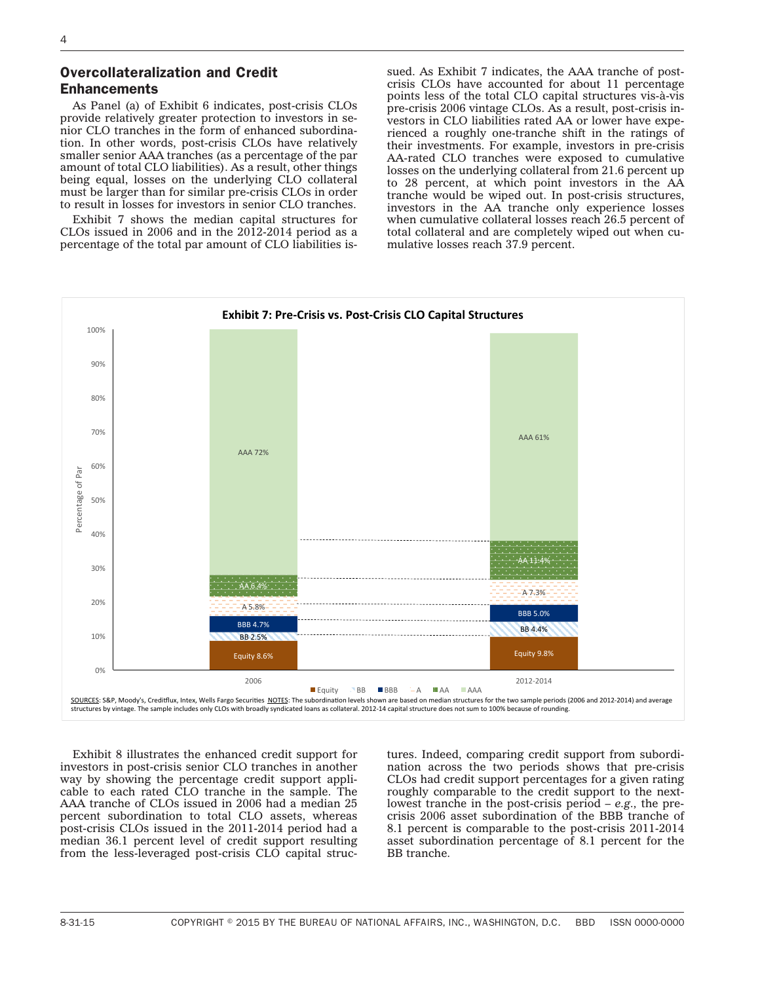## Overcollateralization and Credit Enhancements

As Panel (a) of Exhibit 6 indicates, post-crisis CLOs provide relatively greater protection to investors in senior CLO tranches in the form of enhanced subordination. In other words, post-crisis CLOs have relatively smaller senior AAA tranches (as a percentage of the par amount of total CLO liabilities). As a result, other things being equal, losses on the underlying CLO collateral must be larger than for similar pre-crisis CLOs in order to result in losses for investors in senior CLO tranches.

Exhibit 7 shows the median capital structures for CLOs issued in 2006 and in the 2012-2014 period as a percentage of the total par amount of CLO liabilities issued. As Exhibit 7 indicates, the AAA tranche of postcrisis CLOs have accounted for about 11 percentage points less of the total CLO capital structures vis-à-vis pre-crisis 2006 vintage CLOs. As a result, post-crisis investors in CLO liabilities rated AA or lower have experienced a roughly one-tranche shift in the ratings of their investments. For example, investors in pre-crisis AA-rated CLO tranches were exposed to cumulative losses on the underlying collateral from 21.6 percent up to 28 percent, at which point investors in the AA tranche would be wiped out. In post-crisis structures, investors in the AA tranche only experience losses when cumulative collateral losses reach 26.5 percent of total collateral and are completely wiped out when cumulative losses reach 37.9 percent.



Exhibit 8 illustrates the enhanced credit support for investors in post-crisis senior CLO tranches in another way by showing the percentage credit support applicable to each rated CLO tranche in the sample. The AAA tranche of CLOs issued in 2006 had a median 25 percent subordination to total CLO assets, whereas post-crisis CLOs issued in the 2011-2014 period had a median 36.1 percent level of credit support resulting from the less-leveraged post-crisis CLO capital structures. Indeed, comparing credit support from subordination across the two periods shows that pre-crisis CLOs had credit support percentages for a given rating roughly comparable to the credit support to the nextlowest tranche in the post-crisis period – *e.g.,* the precrisis 2006 asset subordination of the BBB tranche of 8.1 percent is comparable to the post-crisis 2011-2014 asset subordination percentage of 8.1 percent for the BB tranche.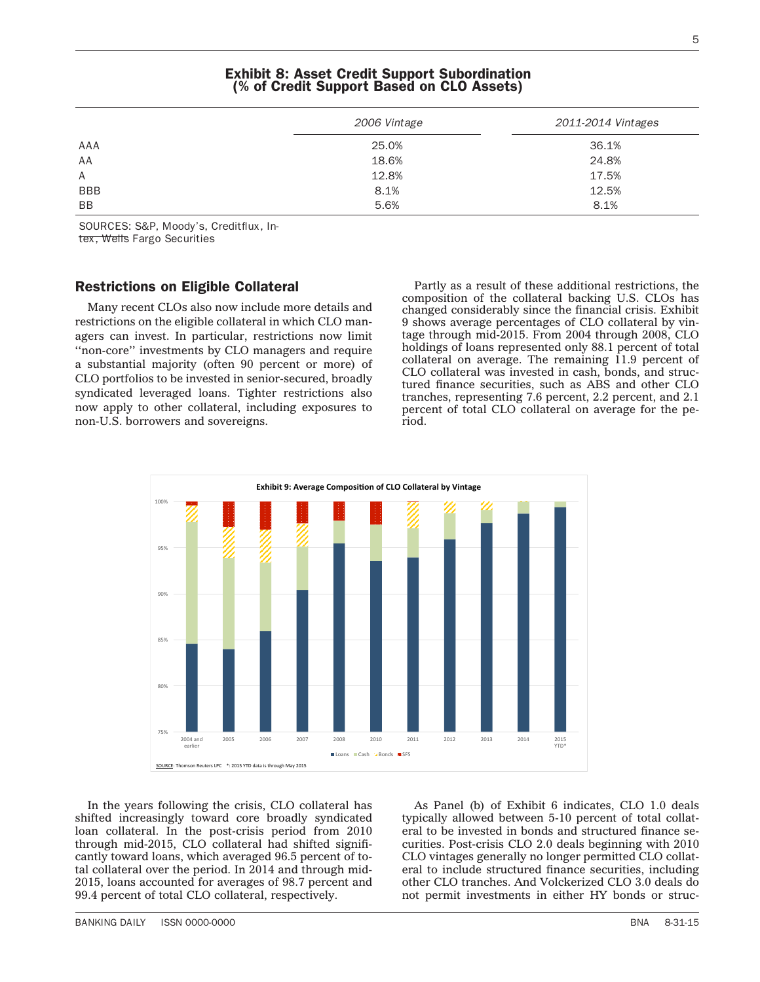## Exhibit 8: Asset Credit Support Subordination (% of Credit Support Based on CLO Assets)

|            | 2006 Vintage | 2011-2014 Vintages |
|------------|--------------|--------------------|
| AAA        | 25.0%        | 36.1%              |
| AA         | 18.6%        | 24.8%              |
| A          | 12.8%        | 17.5%              |
| <b>BBB</b> | 8.1%         | 12.5%              |
| <b>BB</b>  | 5.6%         | 8.1%               |

SOURCES: S&P, Moody's, Creditflux, In-

tex, Wells Fargo Securities

## Restrictions on Eligible Collateral

Many recent CLOs also now include more details and restrictions on the eligible collateral in which CLO managers can invest. In particular, restrictions now limit ''non-core'' investments by CLO managers and require a substantial majority (often 90 percent or more) of CLO portfolios to be invested in senior-secured, broadly syndicated leveraged loans. Tighter restrictions also now apply to other collateral, including exposures to non-U.S. borrowers and sovereigns.

Partly as a result of these additional restrictions, the composition of the collateral backing U.S. CLOs has changed considerably since the financial crisis. Exhibit 9 shows average percentages of CLO collateral by vintage through mid-2015. From 2004 through 2008, CLO holdings of loans represented only 88.1 percent of total collateral on average. The remaining 11.9 percent of CLO collateral was invested in cash, bonds, and structured finance securities, such as ABS and other CLO tranches, representing 7.6 percent, 2.2 percent, and 2.1 percent of total CLO collateral on average for the period.



As Panel (b) of Exhibit 6 indicates, CLO 1.0 deals typically allowed between 5-10 percent of total collateral to be invested in bonds and structured finance securities. Post-crisis CLO 2.0 deals beginning with 2010 CLO vintages generally no longer permitted CLO collateral to include structured finance securities, including other CLO tranches. And Volckerized CLO 3.0 deals do not permit investments in either HY bonds or struc-

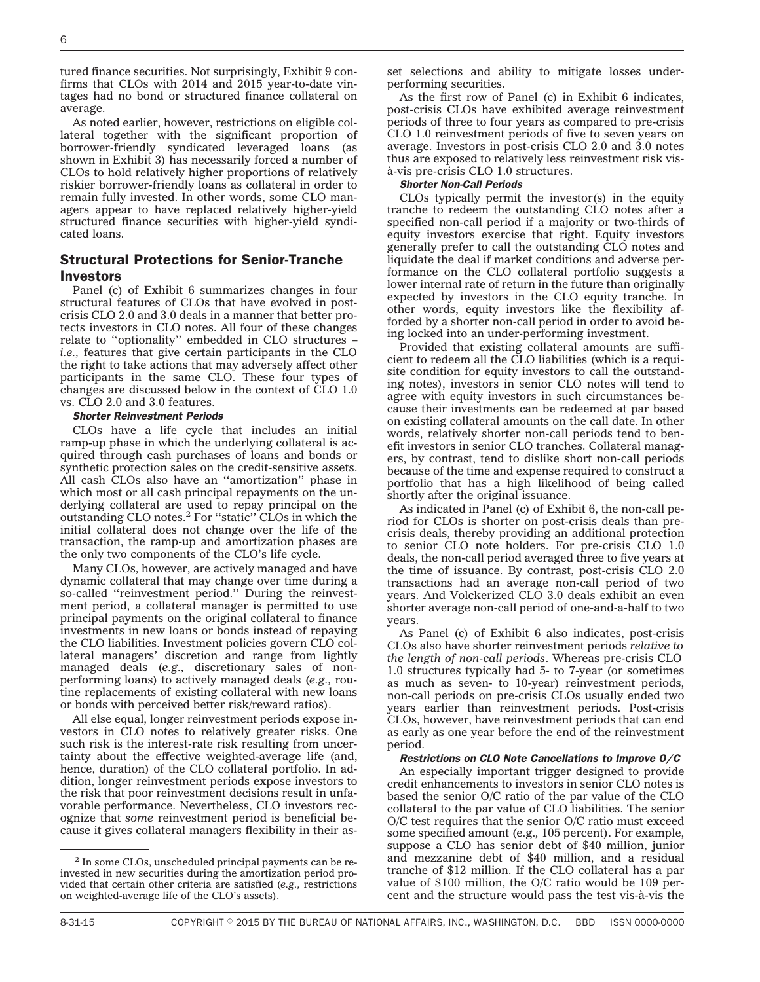tured finance securities. Not surprisingly, Exhibit 9 confirms that CLOs with 2014 and 2015 year-to-date vintages had no bond or structured finance collateral on average.

As noted earlier, however, restrictions on eligible collateral together with the significant proportion of borrower-friendly syndicated leveraged loans (as shown in Exhibit 3) has necessarily forced a number of CLOs to hold relatively higher proportions of relatively riskier borrower-friendly loans as collateral in order to remain fully invested. In other words, some CLO managers appear to have replaced relatively higher-yield structured finance securities with higher-yield syndicated loans.

## Structural Protections for Senior-Tranche Investors

Panel (c) of Exhibit 6 summarizes changes in four structural features of CLOs that have evolved in postcrisis CLO 2.0 and 3.0 deals in a manner that better protects investors in CLO notes. All four of these changes relate to ''optionality'' embedded in CLO structures – *i.e.,* features that give certain participants in the CLO the right to take actions that may adversely affect other participants in the same CLO. These four types of changes are discussed below in the context of CLO 1.0 vs. CLO 2.0 and 3.0 features.

#### *Shorter Reinvestment Periods*

CLOs have a life cycle that includes an initial ramp-up phase in which the underlying collateral is acquired through cash purchases of loans and bonds or synthetic protection sales on the credit-sensitive assets. All cash CLOs also have an ''amortization'' phase in which most or all cash principal repayments on the underlying collateral are used to repay principal on the outstanding CLO notes.2 For ''static'' CLOs in which the initial collateral does not change over the life of the transaction, the ramp-up and amortization phases are the only two components of the CLO's life cycle.

Many CLOs, however, are actively managed and have dynamic collateral that may change over time during a so-called "reinvestment period." During the reinvestment period, a collateral manager is permitted to use principal payments on the original collateral to finance investments in new loans or bonds instead of repaying the CLO liabilities. Investment policies govern CLO collateral managers' discretion and range from lightly managed deals (*e.g.,* discretionary sales of nonperforming loans) to actively managed deals (*e.g.,* routine replacements of existing collateral with new loans or bonds with perceived better risk/reward ratios).

All else equal, longer reinvestment periods expose investors in CLO notes to relatively greater risks. One such risk is the interest-rate risk resulting from uncertainty about the effective weighted-average life (and, hence, duration) of the CLO collateral portfolio. In addition, longer reinvestment periods expose investors to the risk that poor reinvestment decisions result in unfavorable performance. Nevertheless, CLO investors recognize that *some* reinvestment period is beneficial because it gives collateral managers flexibility in their asset selections and ability to mitigate losses underperforming securities.

As the first row of Panel (c) in Exhibit 6 indicates, post-crisis CLOs have exhibited average reinvestment periods of three to four years as compared to pre-crisis CLO 1.0 reinvestment periods of five to seven years on average. Investors in post-crisis CLO 2.0 and 3.0 notes thus are exposed to relatively less reinvestment risk visa`-vis pre-crisis CLO 1.0 structures.

#### *Shorter Non-Call Periods*

CLOs typically permit the investor(s) in the equity tranche to redeem the outstanding CLO notes after a specified non-call period if a majority or two-thirds of equity investors exercise that right. Equity investors generally prefer to call the outstanding CLO notes and liquidate the deal if market conditions and adverse performance on the CLO collateral portfolio suggests a lower internal rate of return in the future than originally expected by investors in the CLO equity tranche. In other words, equity investors like the flexibility afforded by a shorter non-call period in order to avoid being locked into an under-performing investment.

Provided that existing collateral amounts are sufficient to redeem all the CLO liabilities (which is a requisite condition for equity investors to call the outstanding notes), investors in senior CLO notes will tend to agree with equity investors in such circumstances because their investments can be redeemed at par based on existing collateral amounts on the call date. In other words, relatively shorter non-call periods tend to benefit investors in senior CLO tranches. Collateral managers, by contrast, tend to dislike short non-call periods because of the time and expense required to construct a portfolio that has a high likelihood of being called shortly after the original issuance.

As indicated in Panel (c) of Exhibit 6, the non-call period for CLOs is shorter on post-crisis deals than precrisis deals, thereby providing an additional protection to senior CLO note holders. For pre-crisis CLO 1.0 deals, the non-call period averaged three to five years at the time of issuance. By contrast, post-crisis CLO 2.0 transactions had an average non-call period of two years. And Volckerized CLO 3.0 deals exhibit an even shorter average non-call period of one-and-a-half to two years.

As Panel (c) of Exhibit 6 also indicates, post-crisis CLOs also have shorter reinvestment periods *relative to the length of non-call periods*. Whereas pre-crisis CLO 1.0 structures typically had 5- to 7-year (or sometimes as much as seven- to 10-year) reinvestment periods, non-call periods on pre-crisis CLOs usually ended two years earlier than reinvestment periods. Post-crisis CLOs, however, have reinvestment periods that can end as early as one year before the end of the reinvestment period.

#### *Restrictions on CLO Note Cancellations to Improve O/C*

An especially important trigger designed to provide credit enhancements to investors in senior CLO notes is based the senior O/C ratio of the par value of the CLO collateral to the par value of CLO liabilities. The senior O/C test requires that the senior O/C ratio must exceed some specified amount (e.g.*,* 105 percent). For example, suppose a CLO has senior debt of \$40 million, junior and mezzanine debt of \$40 million, and a residual tranche of \$12 million. If the CLO collateral has a par value of \$100 million, the O/C ratio would be 109 percent and the structure would pass the test vis-a`-vis the

<sup>2</sup> In some CLOs, unscheduled principal payments can be reinvested in new securities during the amortization period provided that certain other criteria are satisfied (*e.g.,* restrictions on weighted-average life of the CLO's assets).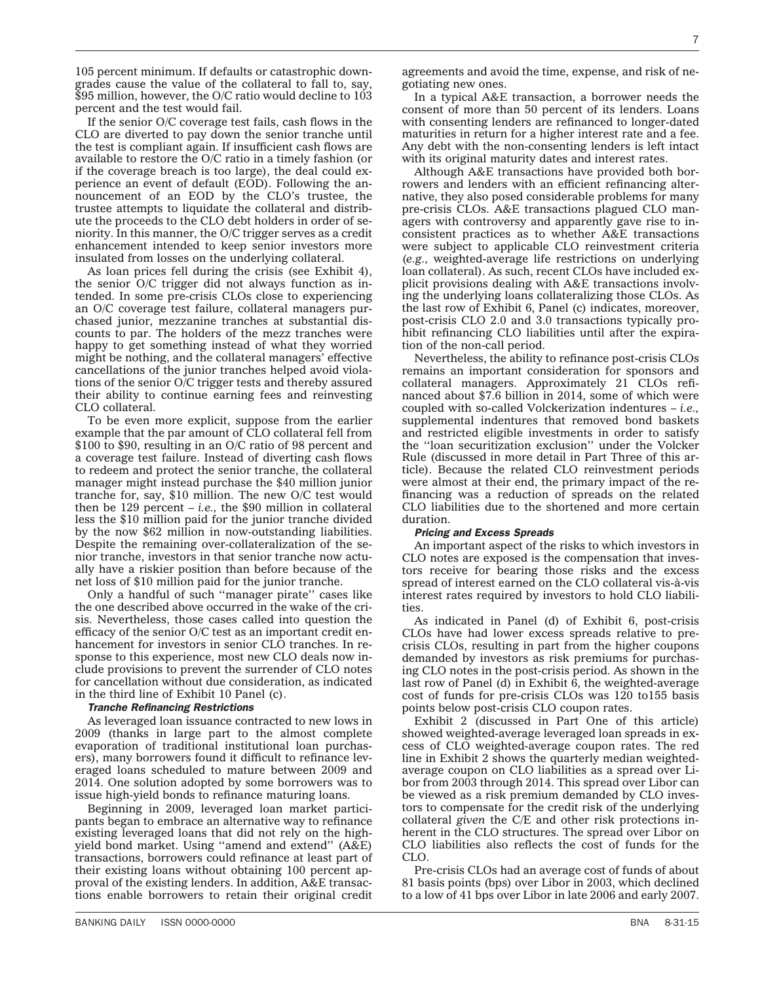105 percent minimum. If defaults or catastrophic downgrades cause the value of the collateral to fall to, say, \$95 million, however, the O/C ratio would decline to 103 percent and the test would fail.

If the senior O/C coverage test fails, cash flows in the CLO are diverted to pay down the senior tranche until the test is compliant again. If insufficient cash flows are available to restore the O/C ratio in a timely fashion (or if the coverage breach is too large), the deal could experience an event of default (EOD). Following the announcement of an EOD by the CLO's trustee, the trustee attempts to liquidate the collateral and distribute the proceeds to the CLO debt holders in order of seniority. In this manner, the O/C trigger serves as a credit enhancement intended to keep senior investors more insulated from losses on the underlying collateral.

As loan prices fell during the crisis (see Exhibit 4), the senior O/C trigger did not always function as intended. In some pre-crisis CLOs close to experiencing an O/C coverage test failure, collateral managers purchased junior, mezzanine tranches at substantial discounts to par. The holders of the mezz tranches were happy to get something instead of what they worried might be nothing, and the collateral managers' effective cancellations of the junior tranches helped avoid violations of the senior O/C trigger tests and thereby assured their ability to continue earning fees and reinvesting CLO collateral.

To be even more explicit, suppose from the earlier example that the par amount of CLO collateral fell from \$100 to \$90, resulting in an O/C ratio of 98 percent and a coverage test failure. Instead of diverting cash flows to redeem and protect the senior tranche, the collateral manager might instead purchase the \$40 million junior tranche for, say, \$10 million. The new O/C test would then be 129 percent – *i.e.,* the \$90 million in collateral less the \$10 million paid for the junior tranche divided by the now \$62 million in now-outstanding liabilities. Despite the remaining over-collateralization of the senior tranche, investors in that senior tranche now actually have a riskier position than before because of the net loss of \$10 million paid for the junior tranche.

Only a handful of such ''manager pirate'' cases like the one described above occurred in the wake of the crisis. Nevertheless, those cases called into question the efficacy of the senior O/C test as an important credit enhancement for investors in senior CLO tranches. In response to this experience, most new CLO deals now include provisions to prevent the surrender of CLO notes for cancellation without due consideration, as indicated in the third line of Exhibit 10 Panel (c).

#### *Tranche Refinancing Restrictions*

As leveraged loan issuance contracted to new lows in 2009 (thanks in large part to the almost complete evaporation of traditional institutional loan purchasers), many borrowers found it difficult to refinance leveraged loans scheduled to mature between 2009 and 2014. One solution adopted by some borrowers was to issue high-yield bonds to refinance maturing loans.

Beginning in 2009, leveraged loan market participants began to embrace an alternative way to refinance existing leveraged loans that did not rely on the highyield bond market. Using ''amend and extend'' (A&E) transactions, borrowers could refinance at least part of their existing loans without obtaining 100 percent approval of the existing lenders. In addition, A&E transactions enable borrowers to retain their original credit

agreements and avoid the time, expense, and risk of negotiating new ones.

In a typical A&E transaction, a borrower needs the consent of more than 50 percent of its lenders. Loans with consenting lenders are refinanced to longer-dated maturities in return for a higher interest rate and a fee. Any debt with the non-consenting lenders is left intact with its original maturity dates and interest rates.

Although A&E transactions have provided both borrowers and lenders with an efficient refinancing alternative, they also posed considerable problems for many pre-crisis CLOs. A&E transactions plagued CLO managers with controversy and apparently gave rise to inconsistent practices as to whether A&E transactions were subject to applicable CLO reinvestment criteria (*e.g.,* weighted-average life restrictions on underlying loan collateral). As such, recent CLOs have included explicit provisions dealing with A&E transactions involving the underlying loans collateralizing those CLOs. As the last row of Exhibit 6, Panel (c) indicates, moreover, post-crisis CLO 2.0 and 3.0 transactions typically prohibit refinancing CLO liabilities until after the expiration of the non-call period.

Nevertheless, the ability to refinance post-crisis CLOs remains an important consideration for sponsors and collateral managers. Approximately 21 CLOs refinanced about \$7.6 billion in 2014, some of which were coupled with so-called Volckerization indentures – *i.e.,* supplemental indentures that removed bond baskets and restricted eligible investments in order to satisfy the ''loan securitization exclusion'' under the Volcker Rule (discussed in more detail in Part Three of this article). Because the related CLO reinvestment periods were almost at their end, the primary impact of the refinancing was a reduction of spreads on the related CLO liabilities due to the shortened and more certain duration.

#### *Pricing and Excess Spreads*

An important aspect of the risks to which investors in CLO notes are exposed is the compensation that investors receive for bearing those risks and the excess spread of interest earned on the CLO collateral vis-à-vis interest rates required by investors to hold CLO liabilities.

As indicated in Panel (d) of Exhibit 6, post-crisis CLOs have had lower excess spreads relative to precrisis CLOs, resulting in part from the higher coupons demanded by investors as risk premiums for purchasing CLO notes in the post-crisis period. As shown in the last row of Panel (d) in Exhibit 6, the weighted-average cost of funds for pre-crisis CLOs was 120 to155 basis points below post-crisis CLO coupon rates.

Exhibit 2 (discussed in Part One of this article) showed weighted-average leveraged loan spreads in excess of CLO weighted-average coupon rates. The red line in Exhibit 2 shows the quarterly median weightedaverage coupon on CLO liabilities as a spread over Libor from 2003 through 2014. This spread over Libor can be viewed as a risk premium demanded by CLO investors to compensate for the credit risk of the underlying collateral *given* the C/E and other risk protections inherent in the CLO structures. The spread over Libor on CLO liabilities also reflects the cost of funds for the CLO.

Pre-crisis CLOs had an average cost of funds of about 81 basis points (bps) over Libor in 2003, which declined to a low of 41 bps over Libor in late 2006 and early 2007.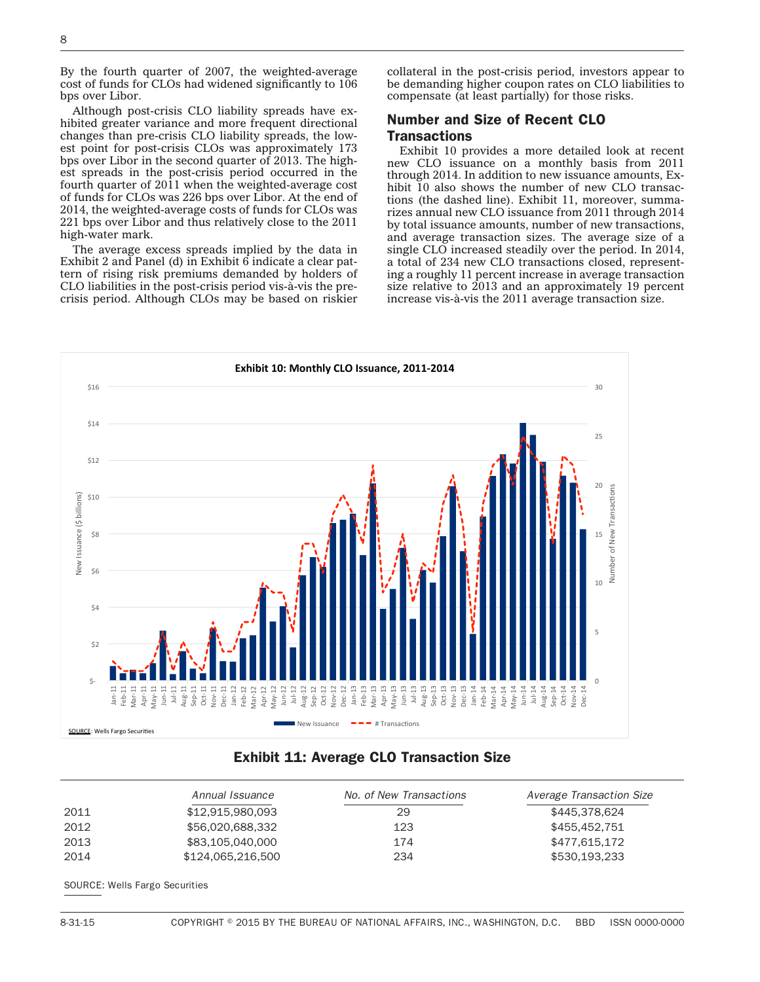By the fourth quarter of 2007, the weighted-average cost of funds for CLOs had widened significantly to  $106$ bps over Libor.

Although post-crisis CLO liability spreads have exhibited greater variance and more frequent directional changes than pre-crisis CLO liability spreads, the lowest point for post-crisis CLOs was approximately 173 bps over Libor in the second quarter of 2013. The highest spreads in the post-crisis period occurred in the fourth quarter of 2011 when the weighted-average cost of funds for CLOs was 226 bps over Libor. At the end of 2014, the weighted-average costs of funds for CLOs was 221 bps over Libor and thus relatively close to the 2011 high-water mark.

The average excess spreads implied by the data in Exhibit 2 and Panel (d) in Exhibit 6 indicate a clear pattern of rising risk premiums demanded by holders of CLO liabilities in the post-crisis period vis-à-vis the precrisis period. Although CLOs may be based on riskier collateral in the post-crisis period, investors appear to be demanding higher coupon rates on CLO liabilities to compensate (at least partially) for those risks.

## Number and Size of Recent CLO **Transactions**

Exhibit 10 provides a more detailed look at recent new CLO issuance on a monthly basis from 2011 through 2014. In addition to new issuance amounts, Exhibit 10 also shows the number of new CLO transactions (the dashed line). Exhibit 11, moreover, summarizes annual new CLO issuance from 2011 through 2014 by total issuance amounts, number of new transactions, and average transaction sizes. The average size of a single CLO increased steadily over the period. In 2014, a total of 234 new CLO transactions closed, representing a roughly 11 percent increase in average transaction size relative to 2013 and an approximately 19 percent increase vis-à-vis the 2011 average transaction size.



### Exhibit 11: Average CLO Transaction Size

|      | Annual Issuance   | No. of New Transactions | Average Transaction Size |
|------|-------------------|-------------------------|--------------------------|
| 2011 | \$12.915.980.093  | 29                      | \$445,378,624            |
| 2012 | \$56,020,688,332  | 123                     | \$455.452.751            |
| 2013 | \$83,105,040,000  | 174                     | \$477.615.172            |
| 2014 | \$124,065,216,500 | 234                     | \$530,193,233            |

SOURCE: Wells Fargo Securities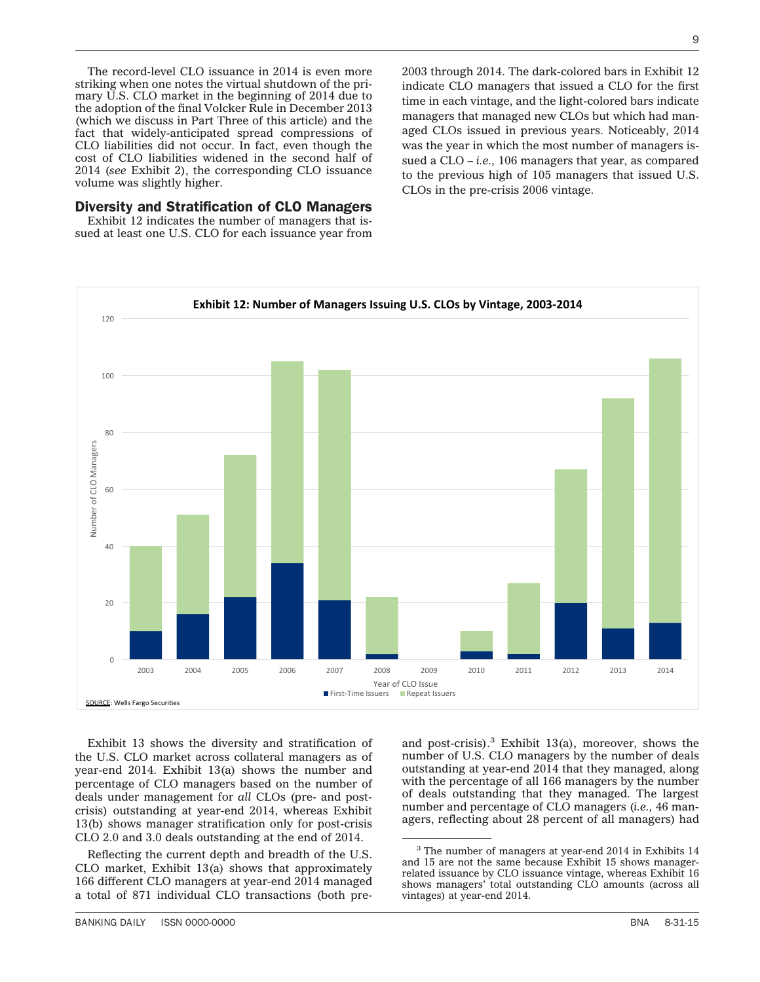The record-level CLO issuance in 2014 is even more striking when one notes the virtual shutdown of the primary U.S. CLO market in the beginning of 2014 due to the adoption of the final Volcker Rule in December 2013 (which we discuss in Part Three of this article) and the fact that widely-anticipated spread compressions of CLO liabilities did not occur. In fact, even though the cost of CLO liabilities widened in the second half of 2014 (*see* Exhibit 2), the corresponding CLO issuance volume was slightly higher.

#### Diversity and Stratification of CLO Managers

Exhibit 12 indicates the number of managers that issued at least one U.S. CLO for each issuance year from

2003 through 2014. The dark-colored bars in Exhibit 12 indicate CLO managers that issued a CLO for the first time in each vintage, and the light-colored bars indicate managers that managed new CLOs but which had managed CLOs issued in previous years. Noticeably, 2014 was the year in which the most number of managers issued a CLO – *i.e.,* 106 managers that year, as compared to the previous high of 105 managers that issued U.S. CLOs in the pre-crisis 2006 vintage.



Exhibit 13 shows the diversity and stratification of the U.S. CLO market across collateral managers as of year-end 2014. Exhibit 13(a) shows the number and percentage of CLO managers based on the number of deals under management for *all* CLOs (pre- and postcrisis) outstanding at year-end 2014, whereas Exhibit 13(b) shows manager stratification only for post-crisis CLO 2.0 and 3.0 deals outstanding at the end of 2014.

Reflecting the current depth and breadth of the U.S. CLO market, Exhibit 13(a) shows that approximately 166 different CLO managers at year-end 2014 managed a total of 871 individual CLO transactions (both preand post-crisis). $3$  Exhibit 13(a), moreover, shows the number of U.S. CLO managers by the number of deals outstanding at year-end 2014 that they managed, along with the percentage of all 166 managers by the number of deals outstanding that they managed. The largest number and percentage of CLO managers (*i.e.,* 46 managers, reflecting about 28 percent of all managers) had

<sup>3</sup> The number of managers at year-end 2014 in Exhibits 14 and 15 are not the same because Exhibit 15 shows managerrelated issuance by CLO issuance vintage, whereas Exhibit 16 shows managers' total outstanding CLO amounts (across all vintages) at year-end 2014.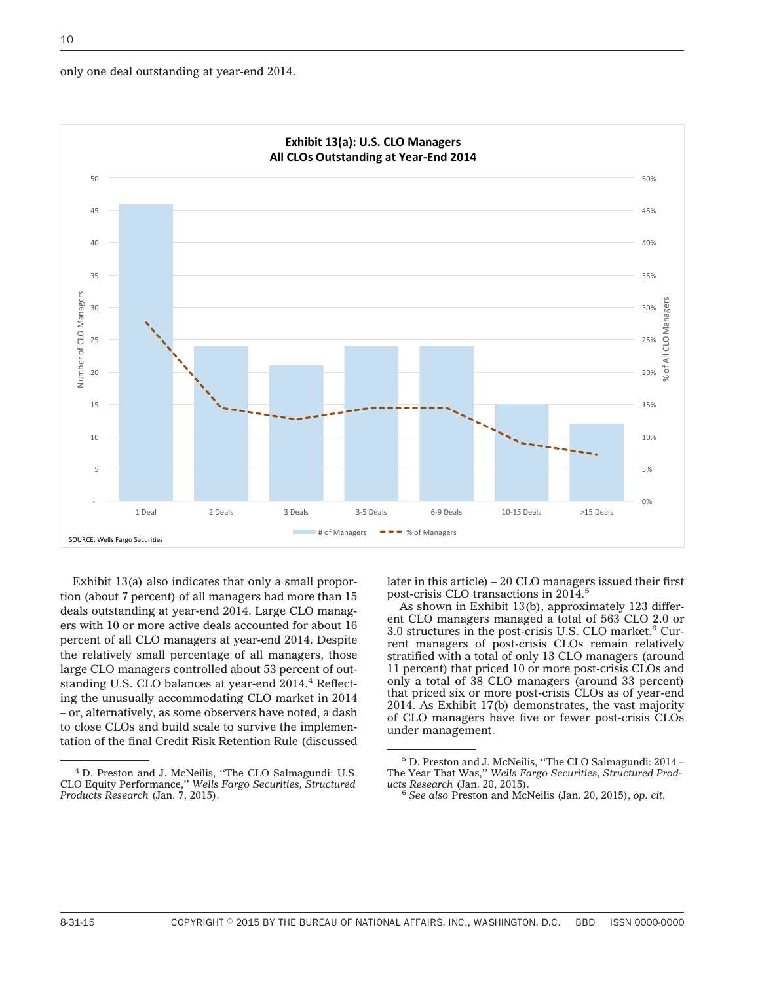10





Exhibit 13(a) also indicates that only a small proportion (about 7 percent) of all managers had more than 15 deals outstanding at year-end 2014. Large CLO managers with 10 or more active deals accounted for about 16 percent of all CLO managers at year-end 2014. Despite the relatively small percentage of all managers, those large CLO managers controlled about 53 percent of outstanding U.S. CLO balances at year-end 2014.<sup>4</sup> Reflecting the unusually accommodating CLO market in 2014 – or, alternatively, as some observers have noted, a dash to close CLOs and build scale to survive the implementation of the final Credit Risk Retention Rule (discussed

later in this article) – 20 CLO managers issued their first post-crisis CLO transactions in 2014.<sup>5</sup>

As shown in Exhibit 13(b), approximately 123 different CLO managers managed a total of 563 CLO 2.0 or 3.0 structures in the post-crisis U.S. CLO market.<sup>6</sup> Current managers of post-crisis CLOs remain relatively stratified with a total of only 13 CLO managers (around 11 percent) that priced 10 or more post-crisis CLOs and only a total of 38 CLO managers (around 33 percent) that priced six or more post-crisis CLOs as of year-end 2014. As Exhibit 17(b) demonstrates, the vast majority of CLO managers have five or fewer post-crisis CLOs under management.

<sup>4</sup> D. Preston and J. McNeilis, ''The CLO Salmagundi: U.S. CLO Equity Performance,'' *Wells Fargo Securities, Structured Products Research* (Jan. 7, 2015).

<sup>5</sup> D. Preston and J. McNeilis, ''The CLO Salmagundi: 2014 – The Year That Was,'' *Wells Fargo Securities, Structured Prod-*

<sup>&</sup>lt;sup>6</sup> See also Preston and McNeilis (Jan. 20, 2015), *op. cit.*